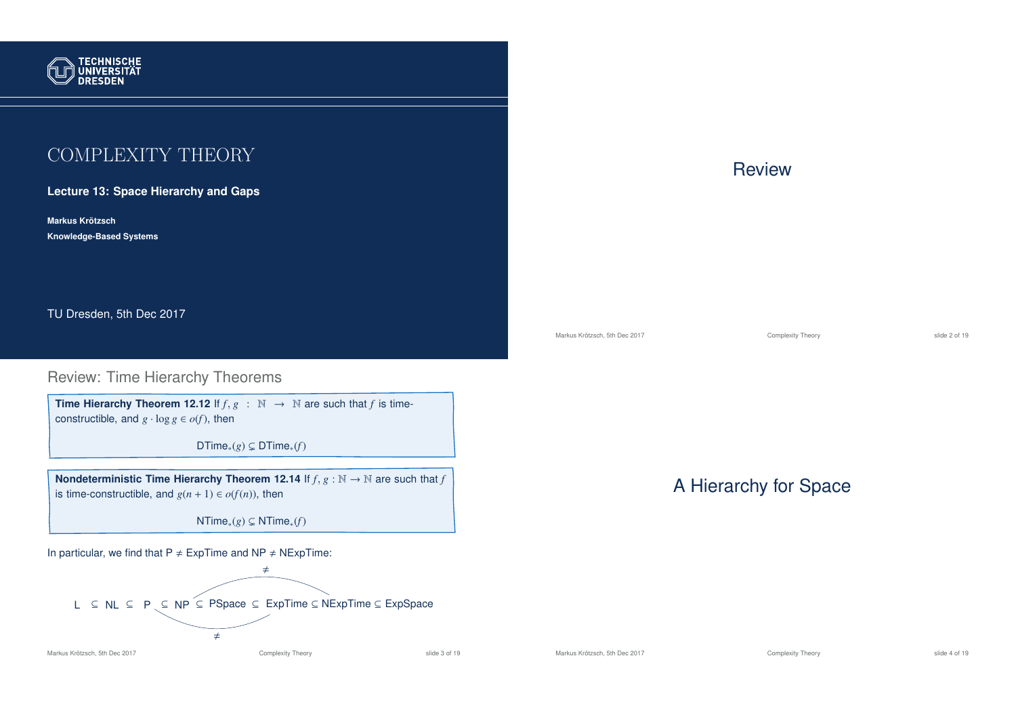

# COMPLEXITY THEORY

**Lecture 13: Space Hierarchy and Gaps**

**Markus Krotzsch ¨ Knowledge-Based Systems**

TU Dresden, 5th Dec 2017

### Review: Time Hierarchy Theorems

**Time Hierarchy Theorem 12.12** If  $f, g : \mathbb{N} \to \mathbb{N}$  are such that *f* is timeconstructible, and  $g \cdot \log g \in o(f)$ , then

DTime<sub>∗</sub> $(g) \subsetneq$  DTime<sub>\*</sub> $(f)$ 

**Nondeterministic Time Hierarchy Theorem 12.14** If  $f$ ,  $g : \mathbb{N} \to \mathbb{N}$  are such that  $f$ is time-constructible, and  $g(n + 1) \in o(f(n))$ , then

NTime<sub>∗</sub> $(g)$  ⊊ NTime<sub>\*</sub> $(f)$ 

In particular, we find that  $P \neq ExpTime$  and  $NP \neq NExpTime$ :



#### Markus Krötzsch, 5th Dec 2017 **Complexity Theory** Complexity Theory slide 3 of 19

## **Review**

Markus Krötzsch, 5th Dec 2017 **Complexity Theory** Complexity Theory slide 2 of 19

# A Hierarchy for Space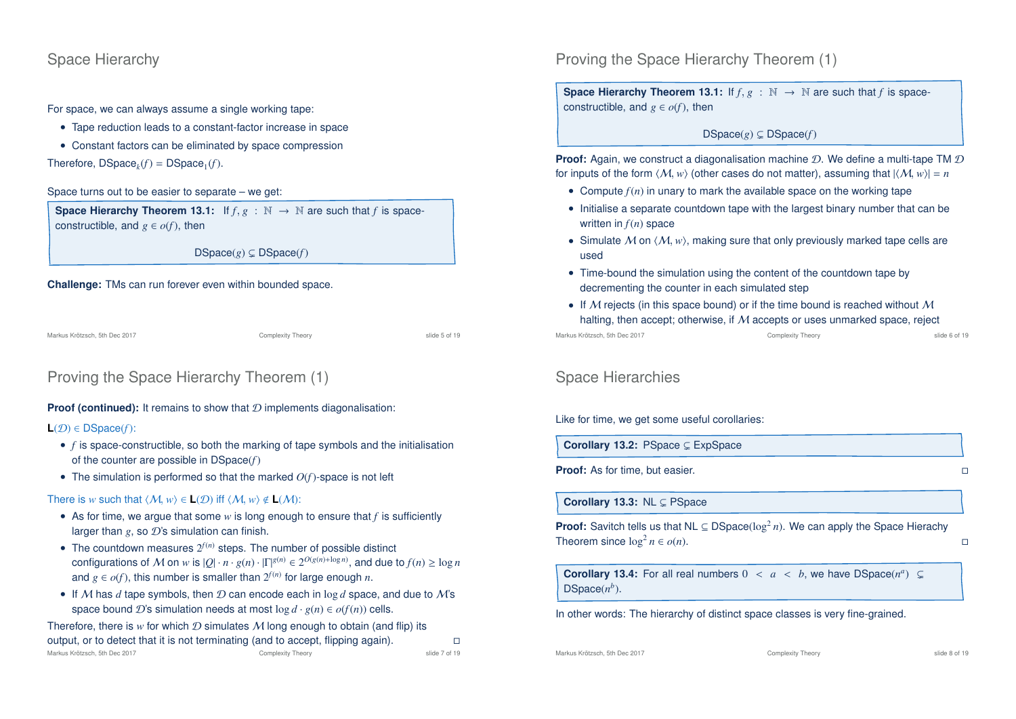### Space Hierarchy

For space, we can always assume a single working tape:

- Tape reduction leads to a constant-factor increase in space
- Constant factors can be eliminated by space compression

Therefore,  $DSpace_k(f) = DSpace_1(f)$ .

Space turns out to be easier to separate – we get:

**Space Hierarchy Theorem 13.1:** If  $f, g : \mathbb{N} \to \mathbb{N}$  are such that *f* is spaceconstructible, and  $g \in \mathcal{O}(f)$ , then

 $DSpace(g) \subseteq DSpace(f)$ 

#### **Challenge:** TMs can run forever even within bounded space.

Markus Krötzsch, 5th Dec 2017 **Complexity Theory** Complexity Theory slide 5 of 19

# Proving the Space Hierarchy Theorem (1)

### **Proof (continued):** It remains to show that  $D$  implements diagonalisation:

#### **L**(D) ∈ DSpace(*f*):

- *f* is space-constructible, so both the marking of tape symbols and the initialisation of the counter are possible in DSpace(*f*)
- The simulation is performed so that the marked *O*(*f*)-space is not left

#### There is *w* such that  $\langle M, w \rangle \in L(\mathcal{D})$  iff  $\langle M, w \rangle \notin L(\mathcal{M})$ :

- As for time, we argue that some *w* is long enough to ensure that *f* is sufficiently larger than  $g$ , so  $\mathcal{D}$ 's simulation can finish.
- The countdown measures  $2^{f(n)}$  steps. The number of possible distinct configurations of M on *w* is  $|Q| \cdot n \cdot g(n) \cdot |\Gamma|^{g(n)} \in 2^{O(g(n) + \log n)}$ , and due to  $f(n) \ge \log n$ and  $g \in o(f)$ , this number is smaller than  $2^{f(n)}$  for large enough *n*.
- If M has  $d$  tape symbols, then  $D$  can encode each in log  $d$  space, and due to M's space bound D's simulation needs at most  $\log d \cdot g(n) \in o(f(n))$  cells.

Therefore, there is  $w$  for which  $D$  simulates  $M$  long enough to obtain (and flip) its output, or to detect that it is not terminating (and to accept, flipping again).  $\Box$ Markus Krötzsch, 5th Dec 2017 Complexity Theory slide 7 of 19 Proving the Space Hierarchy Theorem (1)

**Space Hierarchy Theorem 13.1:** If  $f, g : \mathbb{N} \to \mathbb{N}$  are such that *f* is spaceconstructible, and  $g \in o(f)$ , then

### $DSpace(g) \subseteq DSpace(f)$

**Proof:** Again, we construct a diagonalisation machine D. We define a multi-tape TM D for inputs of the form  $\langle M, w \rangle$  (other cases do not matter), assuming that  $|\langle M, w \rangle| = n$ 

- Compute  $f(n)$  in unary to mark the available space on the working tape
- Initialise a separate countdown tape with the largest binary number that can be written in *f*(*n*) space
- Simulate  $M$  on  $\langle M, w \rangle$ , making sure that only previously marked tape cells are used
- Time-bound the simulation using the content of the countdown tape by decrementing the counter in each simulated step
- If M rejects (in this space bound) or if the time bound is reached without M halting, then accept; otherwise, if M accepts or uses unmarked space, reject

Markus Krötzsch, 5th Dec 2017 Complexity Theory slide 6 of 19

### Space Hierarchies

Like for time, we get some useful corollaries:

Corollary 13.2: PSpace  $\subseteq$  ExpSpace

**Proof:** As for time, but easier.

Corollary 13.3: NL  $\subseteq$  PSpace

**Proof:** Savitch tells us that  $NL \subseteq DSpace(log^2 n)$ . We can apply the Space Hierachy Theorem since  $\log^2 n \in o(n)$ .  $n \in o(n)$ .

**Corollary 13.4:** For all real numbers  $0 < a < b$ , we have  $DSpace(n^a) \subseteq$  $DSpace(n^b)$ .

In other words: The hierarchy of distinct space classes is very fine-grained.

Markus Krötzsch, 5th Dec 2017 **Complexity Theory** Complexity Theory slide 8 of 19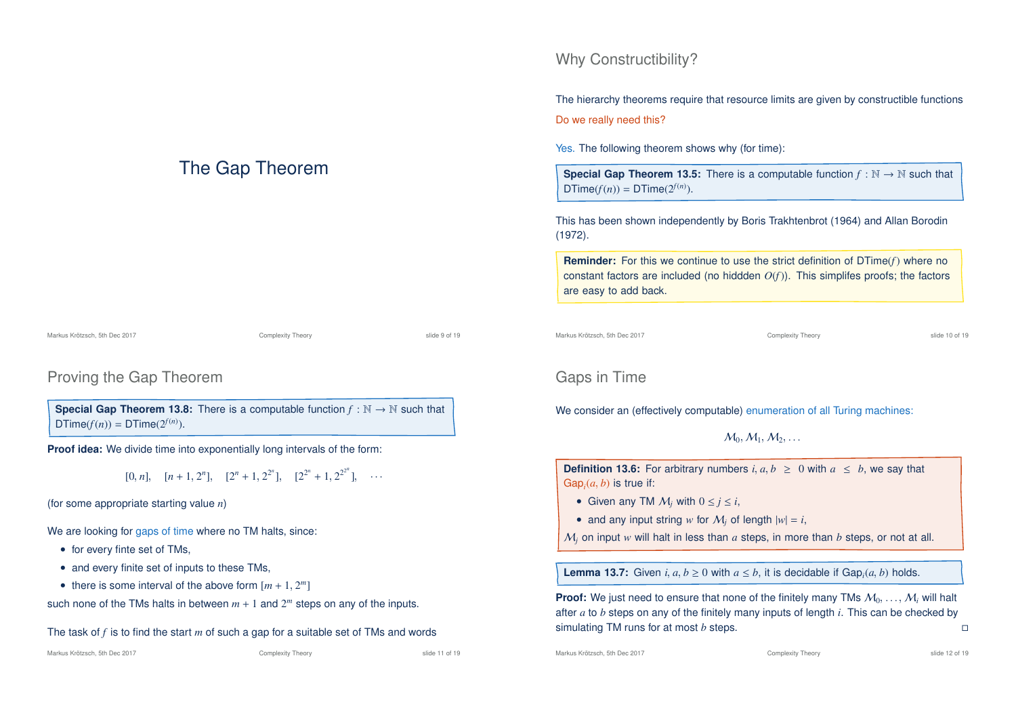# The Gap Theorem

### Proving the Gap Theorem

**Special Gap Theorem 13.8:** There is a computable function  $f : \mathbb{N} \to \mathbb{N}$  such that  $DTime(f(n)) = DTime(2^{f(n)})$ .

**Proof idea:** We divide time into exponentially long intervals of the form:

 $[0, n], \quad [n+1, 2^n], \quad [2^n + 1, 2^{2^n}], \quad [2^{2^n} + 1, 2^{2^{2^n}}], \quad \cdots$ 

(for some appropriate starting value *n*)

We are looking for gaps of time where no TM halts, since:

- for every finte set of TMs,
- and every finite set of inputs to these TMs,
- there is some interval of the above form  $[m + 1, 2^m]$

such none of the TMs halts in between  $m + 1$  and  $2<sup>m</sup>$  steps on any of the inputs.

# The task of *f* is to find the start *m* of such a gap for a suitable set of TMs and words

#### Markus Krötzsch, 5th Dec 2017 **Complexity Theory** Complexity Theory slide 11 of 19

# Why Constructibility?

The hierarchy theorems require that resource limits are given by constructible functions Do we really need this?

Yes. The following theorem shows why (for time):

**Special Gap Theorem 13.5:** There is a computable function  $f : \mathbb{N} \to \mathbb{N}$  such that  $DTime(f(n)) = DTime(2^{f(n)})$ .

This has been shown independently by Boris Trakhtenbrot (1964) and Allan Borodin (1972).

**Reminder:** For this we continue to use the strict definition of DTime(*f*) where no constant factors are included (no hiddden *O*(*f*)). This simplifes proofs; the factors are easy to add back.

Markus Krötzsch, 5th Dec 2017 Complexity Theory slide 10 of 19

## Gaps in Time

We consider an (effectively computable) enumeration of all Turing machines:

 $M_0, M_1, M_2, \ldots$ 

**Definition 13.6:** For arbitrary numbers  $i, a, b \ge 0$  with  $a \le b$ , we say that  $Gap<sub>i</sub>(a, b)$  is true if:

- Given any TM  $M_i$  with  $0 \le j \le i$ ,
- and any input string *w* for  $M_i$  of length  $|w| = i$ ,

M*<sup>j</sup>* on input *w* will halt in less than *a* steps, in more than *b* steps, or not at all.

**Lemma 13.7:** Given  $i, a, b \ge 0$  with  $a \le b$ , it is decidable if Gap<sub>*i*</sub>(*a*, *b*) holds.

**Proof:** We just need to ensure that none of the finitely many TMs  $M_0, \ldots, M_k$  will halt after *a* to *b* steps on any of the finitely many inputs of length *i*. This can be checked by simulating TM runs for at most *b* steps.

Markus Krötzsch, 5th Dec 2017 **Complexity Theory** Complexity Theory slide 12 of 19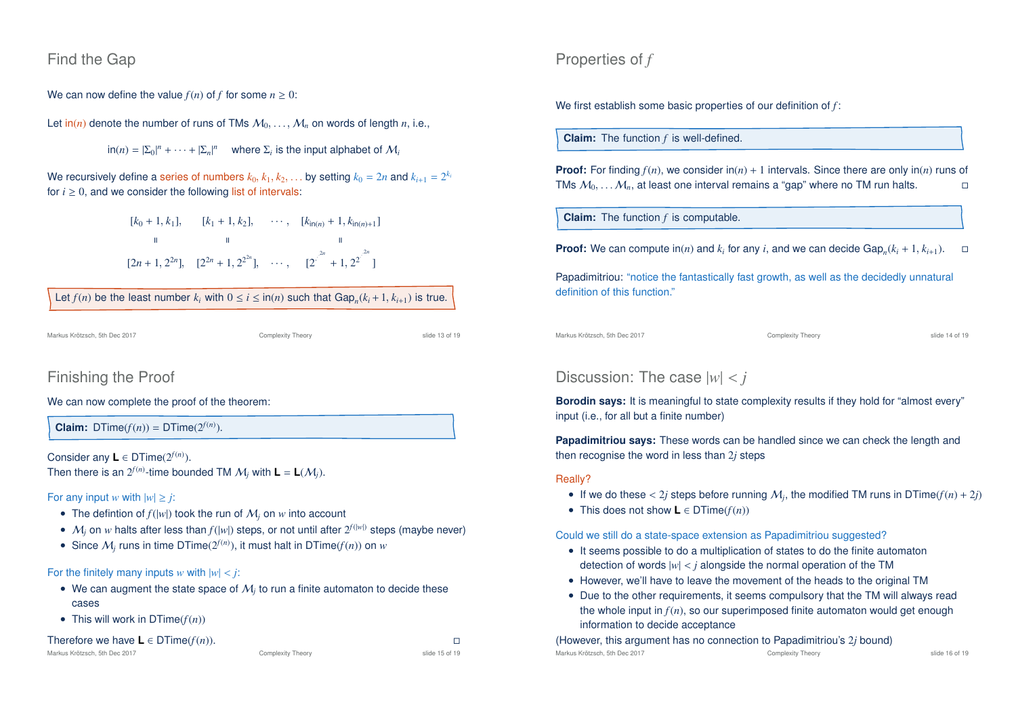### Find the Gap

We can now define the value  $f(n)$  of f for some  $n \geq 0$ :

Let  $\text{in}(n)$  denote the number of runs of TMs  $M_0, \ldots, M_n$  on words of length *n*, i.e.,

 $\ln(n) = |\Sigma_0|^n + \cdots + |\Sigma_n|^n$  where  $\Sigma_i$  is the input alphabet of  $\mathcal{M}_i$ 

We recursively define a series of numbers  $k_0, k_1, k_2, \ldots$  by setting  $k_0 = 2n$  and  $k_{i+1} = 2^{k_i}$ for  $i \geq 0$ , and we consider the following list of intervals:

> $[k_0 + 1, k_1], \quad [k_1 + 1, k_2], \quad \cdots, \quad [k_{\ln(n)} + 1, k_{\ln(n)+1}]$ = = =  $[2n+1, 2^{2n}], [2^{2n}+1, 2^{2^{2n}}], \cdots, [2^{2^{2n}}+1, 2^{2^{2^{2n}}}]$

| Let $f(n)$ be the least number $k_i$ with $0 \le i \le \ln(n)$ such that $Gap_n(k_i + 1, k_{i+1})$ is true. |  |
|-------------------------------------------------------------------------------------------------------------|--|
|-------------------------------------------------------------------------------------------------------------|--|

Markus Krötzsch, 5th Dec 2017 Complexity Theory slide 13 of 19

### Finishing the Proof

### We can now complete the proof of the theorem:

**Claim:** DTime( $f(n)$ ) = DTime( $2^{f(n)}$ ).

Consider any  $L \in \text{DTime}(2^{f(n)})$ . Then there is an  $2^{f(n)}$ -time bounded TM  $M_j$  with  $\mathbf{L} = \mathbf{L}(\mathcal{M}_j)$ .

### For any input *w* with  $|w| \geq i$ :

- The defintion of  $f(|w|)$  took the run of  $M_i$  on  $w$  into account
- $M_j$  on  $w$  halts after less than  $f(|w|)$  steps, or not until after  $2^{f(|w|)}$  steps (maybe never)
- Since  $M_j$  runs in time DTime( $2^{f(n)}$ ), it must halt in DTime( $f(n)$ ) on  $w$

#### For the finitely many inputs *w* with  $|w| < j$ :

- $\bullet$  We can augment the state space of  $\mathcal{M}_j$  to run a finite automaton to decide these cases
- This will work in  $DTime(f(n))$

# Therefore we have  $L \in \text{DTime}(f(n)).$ <br>
Markus Krötzsch, 5th Dec 2017<br>
Complexity Theory<br>
Complexity Theory<br>
Slide 15 of 19

|  | Markus Krötzsch, 5th Dec 2017 |  |  |  |
|--|-------------------------------|--|--|--|
|--|-------------------------------|--|--|--|

Properties of *f*

We first establish some basic properties of our definition of *f* :

**Claim:** The function *f* is well-defined.

**Proof:** For finding  $f(n)$ , we consider  $\text{in}(n) + 1$  intervals. Since there are only  $\text{in}(n)$  runs of TMs  $M_0, \ldots, M_n$ , at least one interval remains a "gap" where no TM run halts.

**Claim:** The function *f* is computable.

**Proof:** We can compute in(*n*) and  $k_i$  for any *i*, and we can decide Gap<sub>*n*</sub>( $k_i + 1, k_{i+1}$ ).  $\Box$ 

Papadimitriou: "notice the fantastically fast growth, as well as the decidedly unnatural definition of this function."

Markus Krötzsch, 5th Dec 2017 Complexity Theory slide 14 of 19

### Discussion: The case |*w*| < *j*

**Borodin says:** It is meaningful to state complexity results if they hold for "almost every" input (i.e., for all but a finite number)

**Papadimitriou says:** These words can be handled since we can check the length and then recognise the word in less than 2*j* steps

#### Really?

- If we do these  $< 2j$  steps before running  $M_j$ , the modified TM runs in DTime( $f(n) + 2j$ )
- This does not show **L** ∈ DTime(*f*(*n*))

#### Could we still do a state-space extension as Papadimitriou suggested?

- It seems possible to do a multiplication of states to do the finite automaton detection of words  $|w| < j$  alongside the normal operation of the TM
- However, we'll have to leave the movement of the heads to the original TM
- Due to the other requirements, it seems compulsory that the TM will always read the whole input in  $f(n)$ , so our superimposed finite automaton would get enough information to decide acceptance

(However, this argument has no connection to Papadimitriou's 2*j* bound)